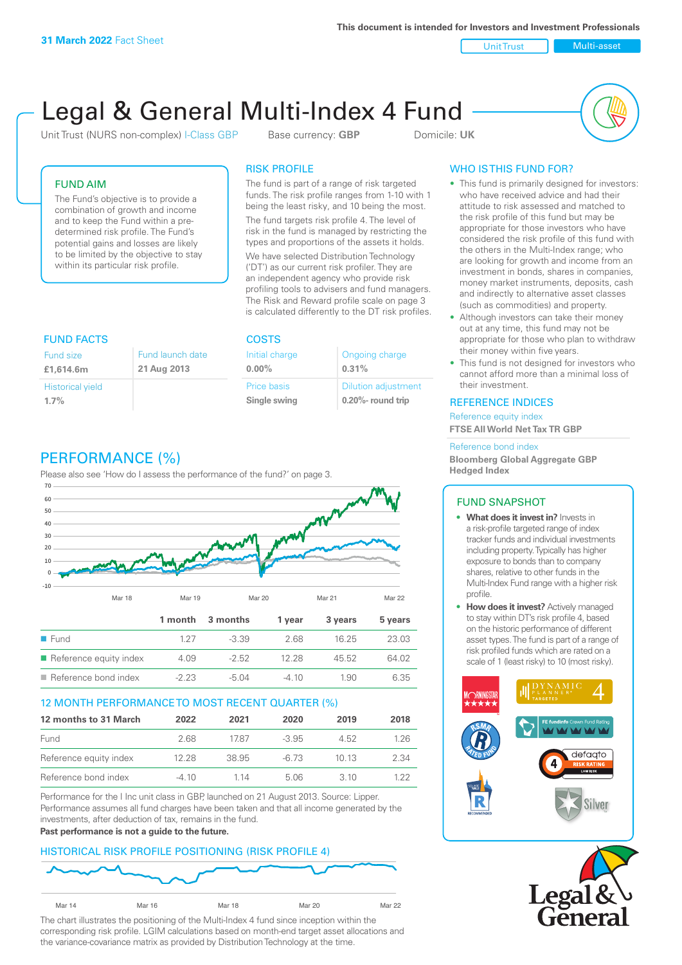**This document is intended for Investors and Investment Professionals**

Unit Trust Nulti-asset

# Legal & General Multi-Index 4 Fund

Unit Trust (NURS non-complex) I-Class GBP Base currency: **GBP** Domicile: UK



## FUND AIM

The Fund's objective is to provide a combination of growth and income and to keep the Fund within a predetermined risk profile. The Fund's potential gains and losses are likely to be limited by the objective to stay within its particular risk profile.

# RISK PROFILE

The fund is part of a range of risk targeted funds. The risk profile ranges from 1-10 with 1 being the least risky, and 10 being the most.

The fund targets risk profile 4. The level of risk in the fund is managed by restricting the types and proportions of the assets it holds. We have selected Distribution Technology ('DT') as our current risk profiler. They are an independent agency who provide risk profiling tools to advisers and fund managers. The Risk and Reward profile scale on page 3 is calculated differently to the DT risk profiles.

| <b>FUND FACTS</b>       |                  | <b>COSTS</b>   |                            |  |
|-------------------------|------------------|----------------|----------------------------|--|
| <b>Fund size</b>        | Fund launch date | Initial charge | Ongoing charge             |  |
| £1,614.6m               | 21 Aug 2013      | $0.00\%$       | 0.31%                      |  |
| <b>Historical yield</b> |                  | Price basis    | <b>Dilution adjustment</b> |  |
| 1.7%                    |                  | Single swing   | $0.20\%$ - round trip      |  |

# PERFORMANCE (%)

Please also see 'How do I assess the performance of the fund?' on page 3.



#### 12 MONTH PERFORMANCE TO MOST RECENT QUARTER (%)

| 12 months to 31 March  | 2022  | 2021  | 2020    | 2019  | 2018  |
|------------------------|-------|-------|---------|-------|-------|
| Fund                   | 2.68. | 1787  | $-3.95$ | 4.52  | 1.26  |
| Reference equity index | 12.28 | 38.95 | -6.73   | 10 13 | 2.34  |
| Reference bond index   | -4 10 | 1 14  | 5.06    | 3. IO | 1 22. |

Performance for the I Inc unit class in GBP, launched on 21 August 2013. Source: Lipper. Performance assumes all fund charges have been taken and that all income generated by the investments, after deduction of tax, remains in the fund.

#### **Past performance is not a guide to the future.**

#### HISTORICAL RISK PROFILE POSITIONING (RISK PROFILE 4)



The chart illustrates the positioning of the Multi-Index 4 fund since inception within the corresponding risk profile. LGIM calculations based on month-end target asset allocations and the variance-covariance matrix as provided by Distribution Technology at the time.

## WHO IS THIS FUND FOR?

- This fund is primarily designed for investors: who have received advice and had their attitude to risk assessed and matched to the risk profile of this fund but may be appropriate for those investors who have considered the risk profile of this fund with the others in the Multi-Index range; who are looking for growth and income from an investment in bonds, shares in companies, money market instruments, deposits, cash and indirectly to alternative asset classes (such as commodities) and property.
- Although investors can take their money out at any time, this fund may not be appropriate for those who plan to withdraw their money within five years.
- This fund is not designed for investors who cannot afford more than a minimal loss of their investment.

#### REFERENCE INDICES

Reference equity index **FTSE All World Net Tax TR GBP**

#### Reference bond index

**Bloomberg Global Aggregate GBP Hedged Index**

## FUND SNAPSHOT

- **• What does it invest in?** Invests in a risk-profile targeted range of index tracker funds and individual investments including property. Typically has higher exposure to bonds than to company shares, relative to other funds in the Multi-Index Fund range with a higher risk profile.
- **• How does it invest?** Actively managed to stay within DT's risk profile 4, based on the historic performance of different asset types. The fund is part of a range of risk profiled funds which are rated on a scale of 1 (least risky) to 10 (most risky).



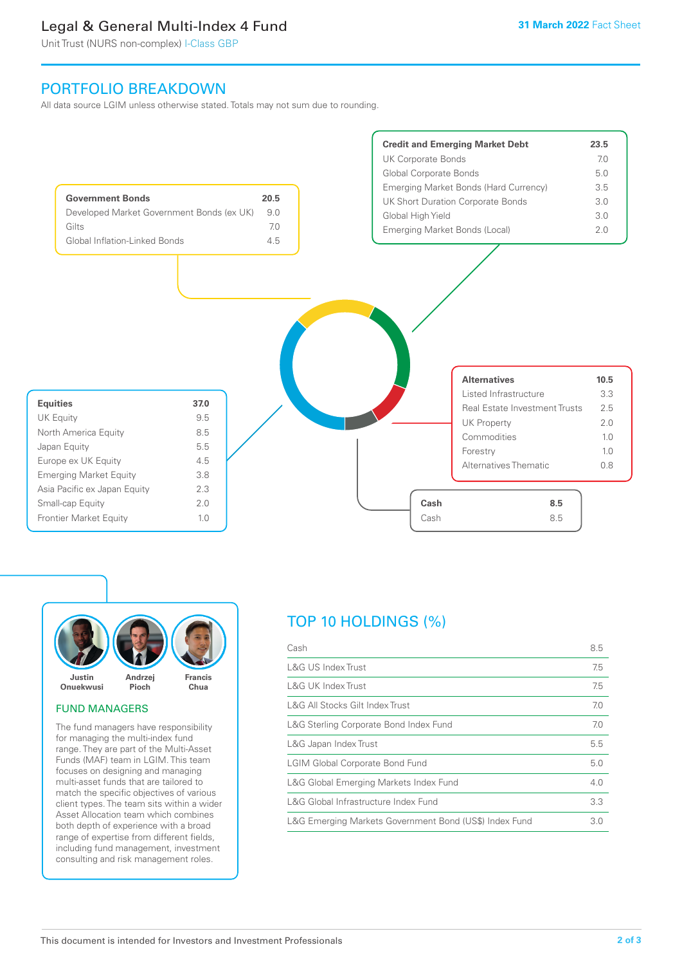# Legal & General Multi-Index 4 Fund

Unit Trust (NURS non-complex) I-Class GBP

# PORTFOLIO BREAKDOWN

All data source LGIM unless otherwise stated. Totals may not sum due to rounding.





#### FUND MANAGERS

The fund managers have responsibility for managing the multi-index fund range. They are part of the Multi-Asset Funds (MAF) team in LGIM. This team focuses on designing and managing multi-asset funds that are tailored to match the specific objectives of various client types. The team sits within a wider Asset Allocation team which combines both depth of experience with a broad range of expertise from different fields, including fund management, investment consulting and risk management roles.

# TOP 10 HOLDINGS (%)

| Cash                                                   | 8.5 |
|--------------------------------------------------------|-----|
| L&G US Index Trust                                     | 7.5 |
| <b>L&amp;G UK Index Trust</b>                          | 7.5 |
| L&G All Stocks Gilt Index Trust                        | 7.0 |
| L&G Sterling Corporate Bond Index Fund                 | 7.0 |
| L&G Japan Index Trust                                  | 5.5 |
| <b>LGIM Global Corporate Bond Fund</b>                 | 5.0 |
| L&G Global Emerging Markets Index Fund                 | 4.0 |
| L&G Global Infrastructure Index Fund                   | 3.3 |
| L&G Emerging Markets Government Bond (US\$) Index Fund | 3.0 |